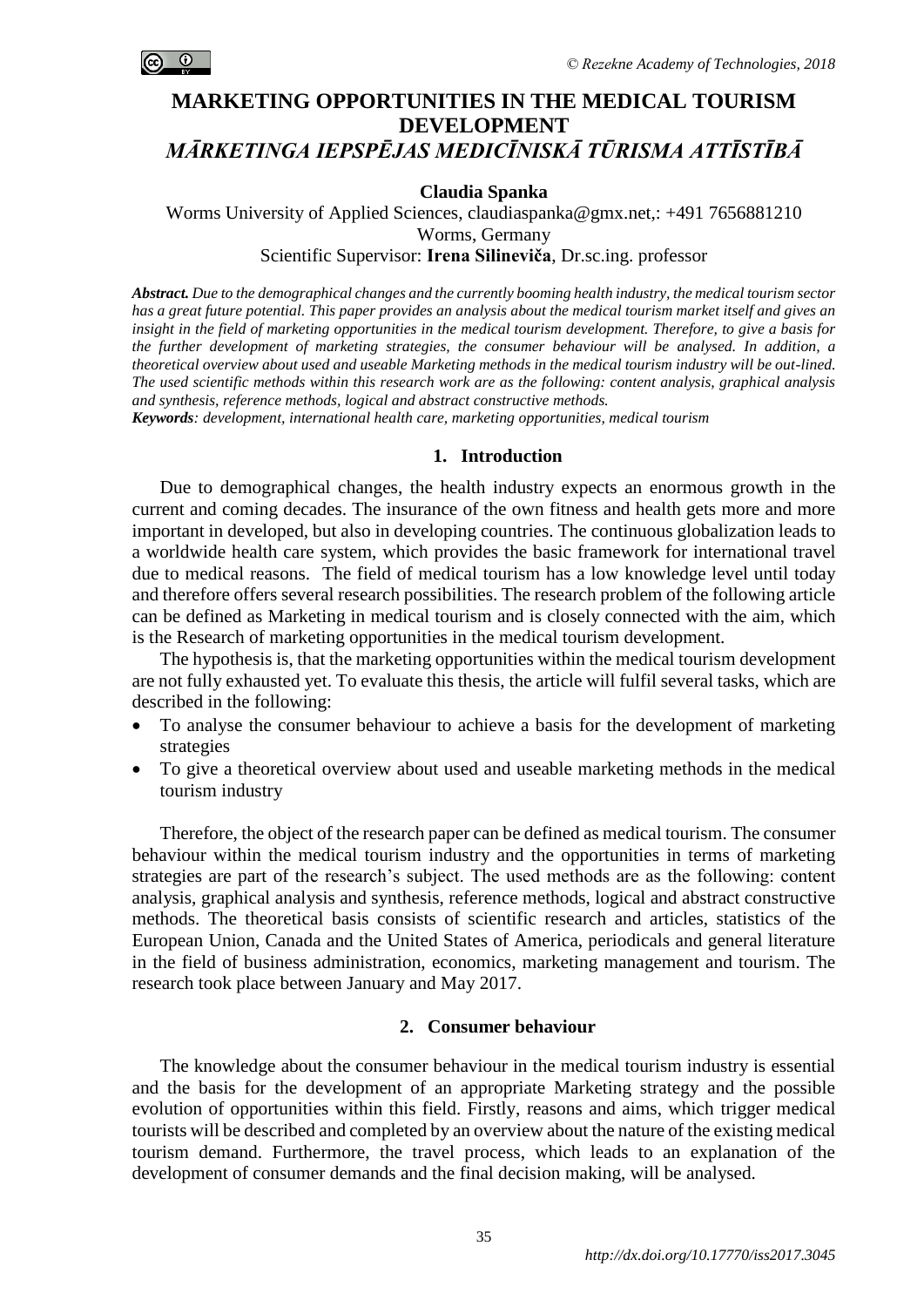

# **MARKETING OPPORTUNITIES IN THE MEDICAL TOURISM DEVELOPMENT** *MĀRKETINGA IEPSPĒJAS MEDICĪNISKĀ TŪRISMA ATTĪSTĪBĀ*

### **Claudia Spanka**

Worms University of Applied Sciences, claudiaspanka@gmx.net.: +491 7656881210 Worms, Germany

Scientific Supervisor: **Irena Silineviča**, Dr.sc.ing. professor

*Abstract. Due to the demographical changes and the currently booming health industry, the medical tourism sector has a great future potential. This paper provides an analysis about the medical tourism market itself and gives an insight in the field of marketing opportunities in the medical tourism development. Therefore, to give a basis for the further development of marketing strategies, the consumer behaviour will be analysed. In addition, a theoretical overview about used and useable Marketing methods in the medical tourism industry will be out-lined. The used scientific methods within this research work are as the following: content analysis, graphical analysis and synthesis, reference methods, logical and abstract constructive methods.* 

*Keywords: development, international health care, marketing opportunities, medical tourism*

#### **1. Introduction**

Due to demographical changes, the health industry expects an enormous growth in the current and coming decades. The insurance of the own fitness and health gets more and more important in developed, but also in developing countries. The continuous globalization leads to a worldwide health care system, which provides the basic framework for international travel due to medical reasons. The field of medical tourism has a low knowledge level until today and therefore offers several research possibilities. The research problem of the following article can be defined as Marketing in medical tourism and is closely connected with the aim, which is the Research of marketing opportunities in the medical tourism development.

The hypothesis is, that the marketing opportunities within the medical tourism development are not fully exhausted yet. To evaluate this thesis, the article will fulfil several tasks, which are described in the following:

- To analyse the consumer behaviour to achieve a basis for the development of marketing strategies
- To give a theoretical overview about used and useable marketing methods in the medical tourism industry

Therefore, the object of the research paper can be defined as medical tourism. The consumer behaviour within the medical tourism industry and the opportunities in terms of marketing strategies are part of the research's subject. The used methods are as the following: content analysis, graphical analysis and synthesis, reference methods, logical and abstract constructive methods. The theoretical basis consists of scientific research and articles, statistics of the European Union, Canada and the United States of America, periodicals and general literature in the field of business administration, economics, marketing management and tourism. The research took place between January and May 2017.

# **2. Consumer behaviour**

The knowledge about the consumer behaviour in the medical tourism industry is essential and the basis for the development of an appropriate Marketing strategy and the possible evolution of opportunities within this field. Firstly, reasons and aims, which trigger medical tourists will be described and completed by an overview about the nature of the existing medical tourism demand. Furthermore, the travel process, which leads to an explanation of the development of consumer demands and the final decision making, will be analysed.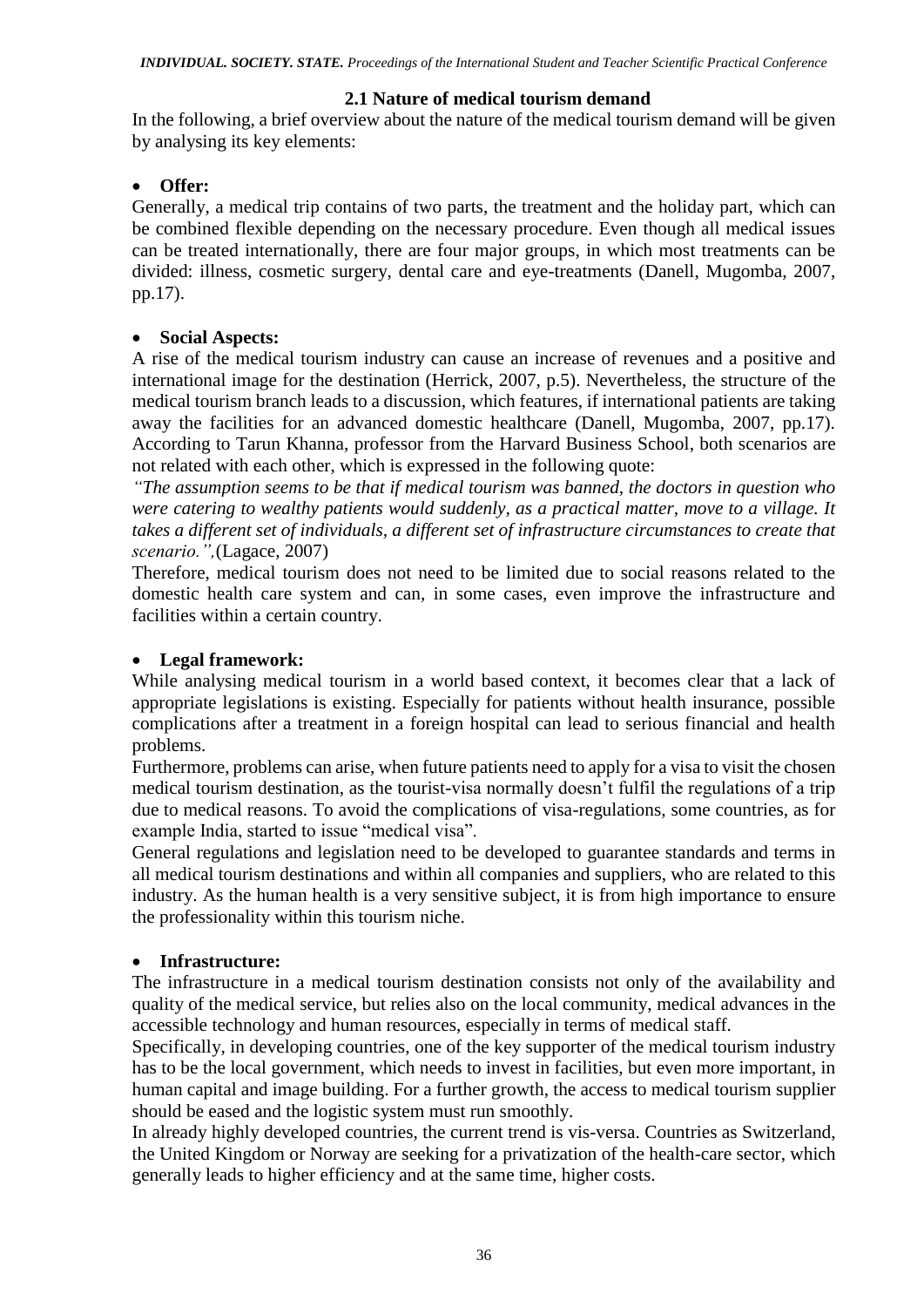# **2.1 Nature of medical tourism demand**

In the following, a brief overview about the nature of the medical tourism demand will be given by analysing its key elements:

# **Offer:**

Generally, a medical trip contains of two parts, the treatment and the holiday part, which can be combined flexible depending on the necessary procedure. Even though all medical issues can be treated internationally, there are four major groups, in which most treatments can be divided: illness, cosmetic surgery, dental care and eye-treatments (Danell, Mugomba, 2007, pp.17).

# **Social Aspects:**

A rise of the medical tourism industry can cause an increase of revenues and a positive and international image for the destination (Herrick, 2007, p.5). Nevertheless, the structure of the medical tourism branch leads to a discussion, which features, if international patients are taking away the facilities for an advanced domestic healthcare (Danell, Mugomba, 2007, pp.17). According to Tarun Khanna, professor from the Harvard Business School, both scenarios are not related with each other, which is expressed in the following quote:

*"The assumption seems to be that if medical tourism was banned, the doctors in question who were catering to wealthy patients would suddenly, as a practical matter, move to a village. It takes a different set of individuals, a different set of infrastructure circumstances to create that scenario.",*(Lagace, 2007)

Therefore, medical tourism does not need to be limited due to social reasons related to the domestic health care system and can, in some cases, even improve the infrastructure and facilities within a certain country.

# **Legal framework:**

While analysing medical tourism in a world based context, it becomes clear that a lack of appropriate legislations is existing. Especially for patients without health insurance, possible complications after a treatment in a foreign hospital can lead to serious financial and health problems.

Furthermore, problems can arise, when future patients need to apply for a visa to visit the chosen medical tourism destination, as the tourist-visa normally doesn't fulfil the regulations of a trip due to medical reasons. To avoid the complications of visa-regulations, some countries, as for example India, started to issue "medical visa".

General regulations and legislation need to be developed to guarantee standards and terms in all medical tourism destinations and within all companies and suppliers, who are related to this industry. As the human health is a very sensitive subject, it is from high importance to ensure the professionality within this tourism niche.

# **Infrastructure:**

The infrastructure in a medical tourism destination consists not only of the availability and quality of the medical service, but relies also on the local community, medical advances in the accessible technology and human resources, especially in terms of medical staff.

Specifically, in developing countries, one of the key supporter of the medical tourism industry has to be the local government, which needs to invest in facilities, but even more important, in human capital and image building. For a further growth, the access to medical tourism supplier should be eased and the logistic system must run smoothly.

In already highly developed countries, the current trend is vis-versa. Countries as Switzerland, the United Kingdom or Norway are seeking for a privatization of the health-care sector, which generally leads to higher efficiency and at the same time, higher costs.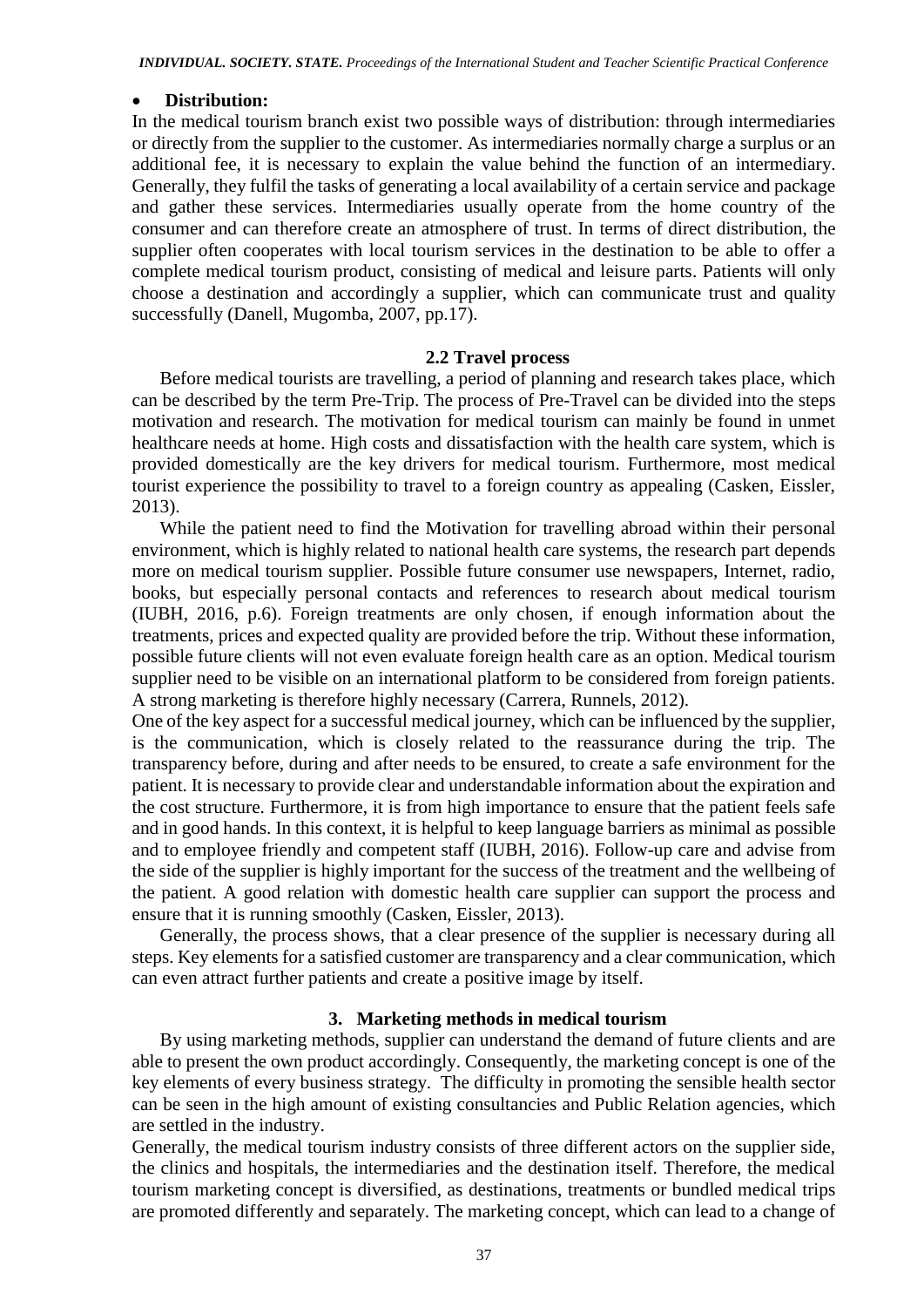#### **Distribution:**

In the medical tourism branch exist two possible ways of distribution: through intermediaries or directly from the supplier to the customer. As intermediaries normally charge a surplus or an additional fee, it is necessary to explain the value behind the function of an intermediary. Generally, they fulfil the tasks of generating a local availability of a certain service and package and gather these services. Intermediaries usually operate from the home country of the consumer and can therefore create an atmosphere of trust. In terms of direct distribution, the supplier often cooperates with local tourism services in the destination to be able to offer a complete medical tourism product, consisting of medical and leisure parts. Patients will only choose a destination and accordingly a supplier, which can communicate trust and quality successfully (Danell, Mugomba, 2007, pp.17).

#### **2.2 Travel process**

Before medical tourists are travelling, a period of planning and research takes place, which can be described by the term Pre-Trip. The process of Pre-Travel can be divided into the steps motivation and research. The motivation for medical tourism can mainly be found in unmet healthcare needs at home. High costs and dissatisfaction with the health care system, which is provided domestically are the key drivers for medical tourism. Furthermore, most medical tourist experience the possibility to travel to a foreign country as appealing (Casken, Eissler, 2013).

While the patient need to find the Motivation for travelling abroad within their personal environment, which is highly related to national health care systems, the research part depends more on medical tourism supplier. Possible future consumer use newspapers, Internet, radio, books, but especially personal contacts and references to research about medical tourism (IUBH, 2016, p.6). Foreign treatments are only chosen, if enough information about the treatments, prices and expected quality are provided before the trip. Without these information, possible future clients will not even evaluate foreign health care as an option. Medical tourism supplier need to be visible on an international platform to be considered from foreign patients. A strong marketing is therefore highly necessary (Carrera, Runnels, 2012).

One of the key aspect for a successful medical journey, which can be influenced by the supplier, is the communication, which is closely related to the reassurance during the trip. The transparency before, during and after needs to be ensured, to create a safe environment for the patient. It is necessary to provide clear and understandable information about the expiration and the cost structure. Furthermore, it is from high importance to ensure that the patient feels safe and in good hands. In this context, it is helpful to keep language barriers as minimal as possible and to employee friendly and competent staff (IUBH, 2016). Follow-up care and advise from the side of the supplier is highly important for the success of the treatment and the wellbeing of the patient. A good relation with domestic health care supplier can support the process and ensure that it is running smoothly (Casken, Eissler, 2013).

Generally, the process shows, that a clear presence of the supplier is necessary during all steps. Key elements for a satisfied customer are transparency and a clear communication, which can even attract further patients and create a positive image by itself.

#### **3. Marketing methods in medical tourism**

By using marketing methods, supplier can understand the demand of future clients and are able to present the own product accordingly. Consequently, the marketing concept is one of the key elements of every business strategy. The difficulty in promoting the sensible health sector can be seen in the high amount of existing consultancies and Public Relation agencies, which are settled in the industry.

Generally, the medical tourism industry consists of three different actors on the supplier side, the clinics and hospitals, the intermediaries and the destination itself. Therefore, the medical tourism marketing concept is diversified, as destinations, treatments or bundled medical trips are promoted differently and separately. The marketing concept, which can lead to a change of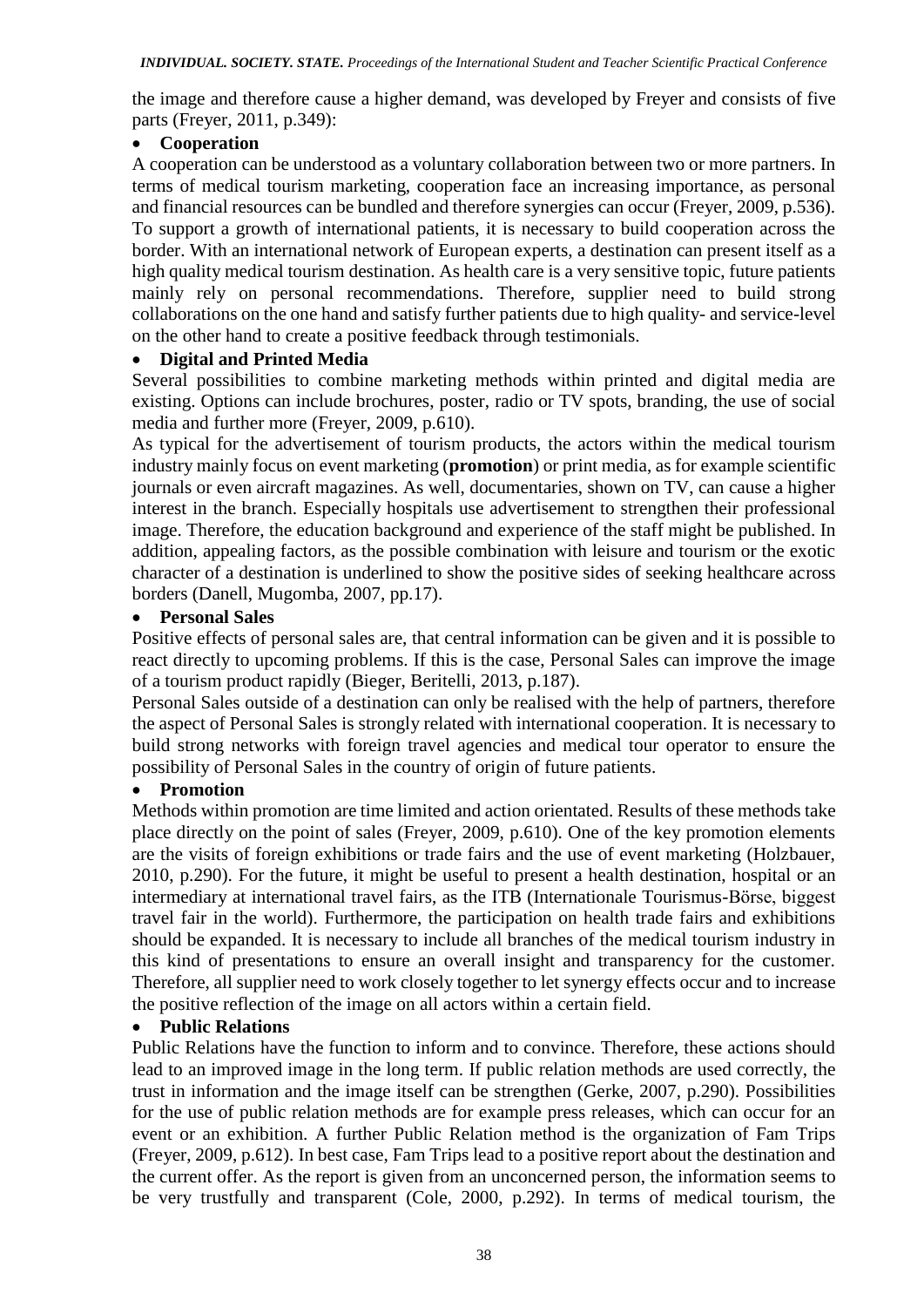the image and therefore cause a higher demand, was developed by Freyer and consists of five parts (Freyer, 2011, p.349):

### **Cooperation**

A cooperation can be understood as a voluntary collaboration between two or more partners. In terms of medical tourism marketing, cooperation face an increasing importance, as personal and financial resources can be bundled and therefore synergies can occur (Freyer, 2009, p.536). To support a growth of international patients, it is necessary to build cooperation across the border. With an international network of European experts, a destination can present itself as a high quality medical tourism destination. As health care is a very sensitive topic, future patients mainly rely on personal recommendations. Therefore, supplier need to build strong collaborations on the one hand and satisfy further patients due to high quality- and service-level on the other hand to create a positive feedback through testimonials.

### **Digital and Printed Media**

Several possibilities to combine marketing methods within printed and digital media are existing. Options can include brochures, poster, radio or TV spots, branding, the use of social media and further more (Freyer, 2009, p.610).

As typical for the advertisement of tourism products, the actors within the medical tourism industry mainly focus on event marketing (**promotion**) or print media, as for example scientific journals or even aircraft magazines. As well, documentaries, shown on TV, can cause a higher interest in the branch. Especially hospitals use advertisement to strengthen their professional image. Therefore, the education background and experience of the staff might be published. In addition, appealing factors, as the possible combination with leisure and tourism or the exotic character of a destination is underlined to show the positive sides of seeking healthcare across borders (Danell, Mugomba, 2007, pp.17).

### **Personal Sales**

Positive effects of personal sales are, that central information can be given and it is possible to react directly to upcoming problems. If this is the case, Personal Sales can improve the image of a tourism product rapidly (Bieger, Beritelli, 2013, p.187).

Personal Sales outside of a destination can only be realised with the help of partners, therefore the aspect of Personal Sales is strongly related with international cooperation. It is necessary to build strong networks with foreign travel agencies and medical tour operator to ensure the possibility of Personal Sales in the country of origin of future patients.

#### **Promotion**

Methods within promotion are time limited and action orientated. Results of these methods take place directly on the point of sales (Freyer, 2009, p.610). One of the key promotion elements are the visits of foreign exhibitions or trade fairs and the use of event marketing (Holzbauer, 2010, p.290). For the future, it might be useful to present a health destination, hospital or an intermediary at international travel fairs, as the ITB (Internationale Tourismus-Börse, biggest travel fair in the world). Furthermore, the participation on health trade fairs and exhibitions should be expanded. It is necessary to include all branches of the medical tourism industry in this kind of presentations to ensure an overall insight and transparency for the customer. Therefore, all supplier need to work closely together to let synergy effects occur and to increase the positive reflection of the image on all actors within a certain field.

#### **Public Relations**

Public Relations have the function to inform and to convince. Therefore, these actions should lead to an improved image in the long term. If public relation methods are used correctly, the trust in information and the image itself can be strengthen (Gerke, 2007, p.290). Possibilities for the use of public relation methods are for example press releases, which can occur for an event or an exhibition. A further Public Relation method is the organization of Fam Trips (Freyer, 2009, p.612). In best case, Fam Trips lead to a positive report about the destination and the current offer. As the report is given from an unconcerned person, the information seems to be very trustfully and transparent (Cole, 2000, p.292). In terms of medical tourism, the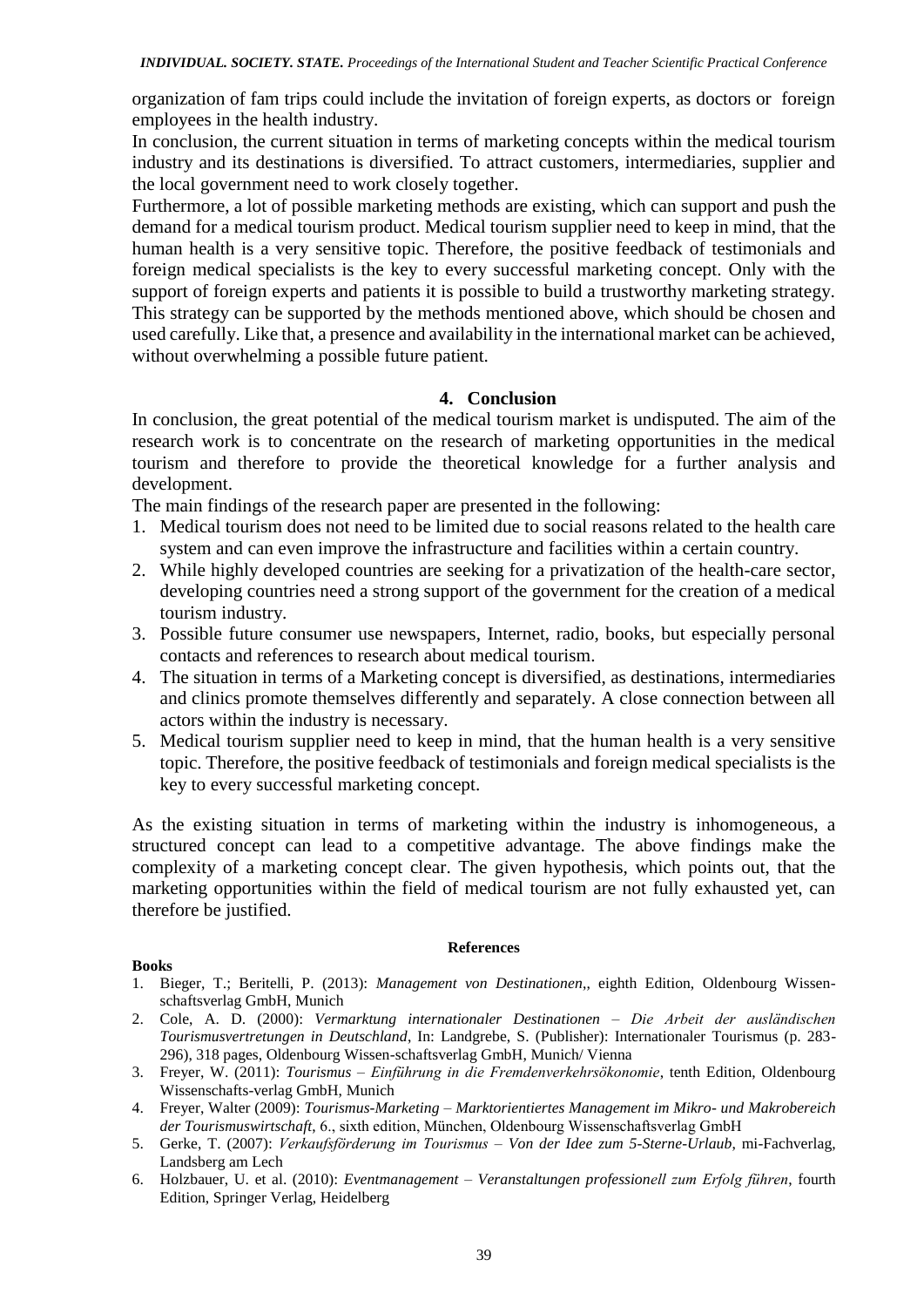organization of fam trips could include the invitation of foreign experts, as doctors or foreign employees in the health industry.

In conclusion, the current situation in terms of marketing concepts within the medical tourism industry and its destinations is diversified. To attract customers, intermediaries, supplier and the local government need to work closely together.

Furthermore, a lot of possible marketing methods are existing, which can support and push the demand for a medical tourism product. Medical tourism supplier need to keep in mind, that the human health is a very sensitive topic. Therefore, the positive feedback of testimonials and foreign medical specialists is the key to every successful marketing concept. Only with the support of foreign experts and patients it is possible to build a trustworthy marketing strategy. This strategy can be supported by the methods mentioned above, which should be chosen and used carefully. Like that, a presence and availability in the international market can be achieved, without overwhelming a possible future patient.

#### **4. Conclusion**

In conclusion, the great potential of the medical tourism market is undisputed. The aim of the research work is to concentrate on the research of marketing opportunities in the medical tourism and therefore to provide the theoretical knowledge for a further analysis and development.

The main findings of the research paper are presented in the following:

- 1. Medical tourism does not need to be limited due to social reasons related to the health care system and can even improve the infrastructure and facilities within a certain country.
- 2. While highly developed countries are seeking for a privatization of the health-care sector, developing countries need a strong support of the government for the creation of a medical tourism industry.
- 3. Possible future consumer use newspapers, Internet, radio, books, but especially personal contacts and references to research about medical tourism.
- 4. The situation in terms of a Marketing concept is diversified, as destinations, intermediaries and clinics promote themselves differently and separately. A close connection between all actors within the industry is necessary.
- 5. Medical tourism supplier need to keep in mind, that the human health is a very sensitive topic. Therefore, the positive feedback of testimonials and foreign medical specialists is the key to every successful marketing concept.

As the existing situation in terms of marketing within the industry is inhomogeneous, a structured concept can lead to a competitive advantage. The above findings make the complexity of a marketing concept clear. The given hypothesis, which points out, that the marketing opportunities within the field of medical tourism are not fully exhausted yet, can therefore be justified.

#### **References**

#### **Books**

- 1. Bieger, T.; Beritelli, P. (2013): *Management von Destinationen*,, eighth Edition, Oldenbourg Wissenschaftsverlag GmbH, Munich
- 2. Cole, A. D. (2000): *Vermarktung internationaler Destinationen – Die Arbeit der ausländischen Tourismusvertretungen in Deutschland*, In: Landgrebe, S. (Publisher): Internationaler Tourismus (p. 283- 296), 318 pages, Oldenbourg Wissen-schaftsverlag GmbH, Munich/ Vienna
- 3. Freyer, W. (2011): *Tourismus – Einführung in die Fremdenverkehrsökonomie*, tenth Edition, Oldenbourg Wissenschafts-verlag GmbH, Munich
- 4. Freyer, Walter (2009): *Tourismus-Marketing – Marktorientiertes Management im Mikro- und Makrobereich der Tourismuswirtschaft*, 6., sixth edition, München, Oldenbourg Wissenschaftsverlag GmbH
- 5. Gerke, T. (2007): *Verkaufsförderung im Tourismus – Von der Idee zum 5-Sterne-Urlaub*, mi-Fachverlag, Landsberg am Lech
- 6. Holzbauer, U. et al. (2010): *Eventmanagement – Veranstaltungen professionell zum Erfolg führen*, fourth Edition, Springer Verlag, Heidelberg